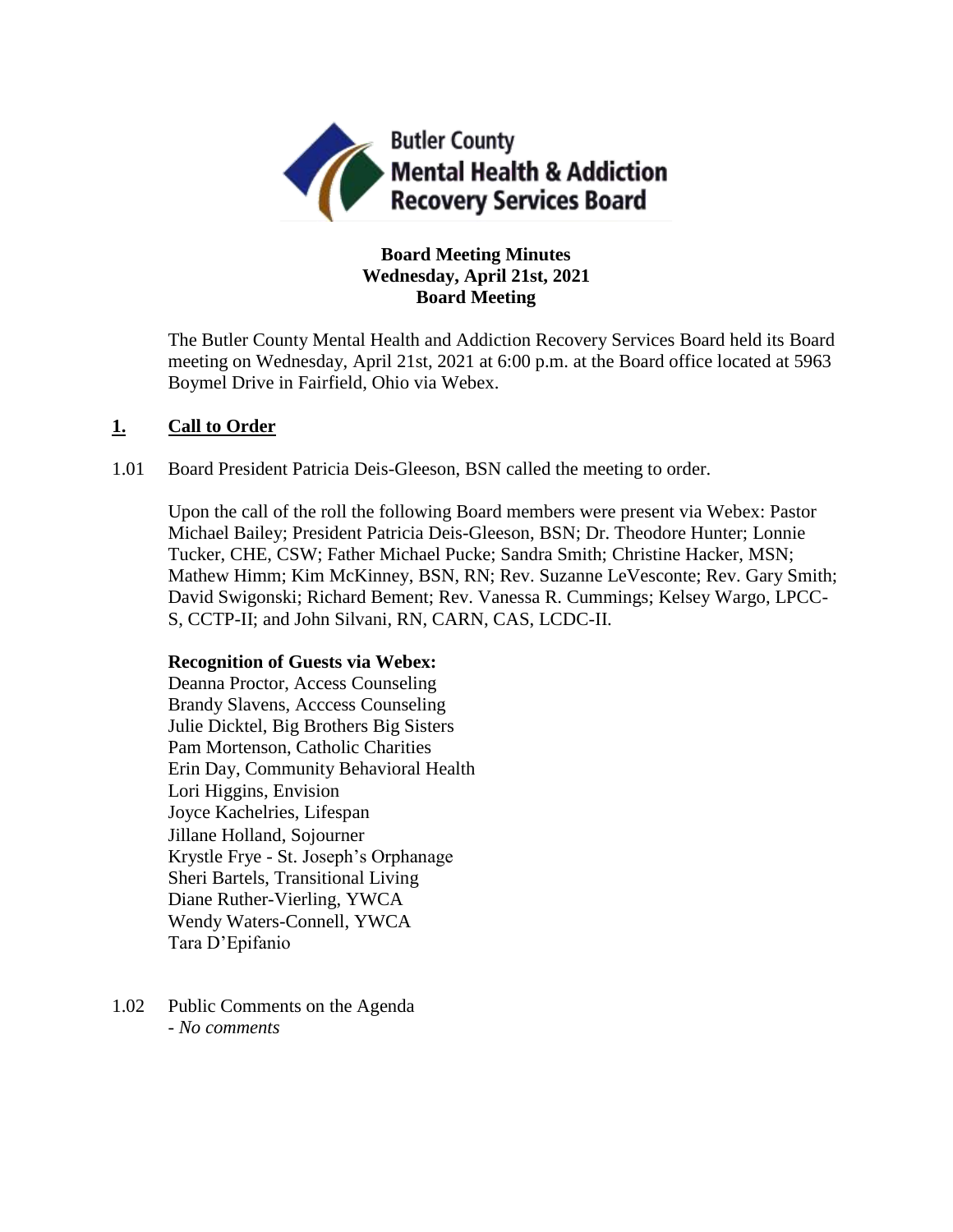

# **Board Meeting Minutes Wednesday, April 21st, 2021 Board Meeting**

The Butler County Mental Health and Addiction Recovery Services Board held its Board meeting on Wednesday, April 21st, 2021 at 6:00 p.m. at the Board office located at 5963 Boymel Drive in Fairfield, Ohio via Webex.

# **1. Call to Order**

1.01 Board President Patricia Deis-Gleeson, BSN called the meeting to order.

Upon the call of the roll the following Board members were present via Webex: Pastor Michael Bailey; President Patricia Deis-Gleeson, BSN; Dr. Theodore Hunter; Lonnie Tucker, CHE, CSW; Father Michael Pucke; Sandra Smith; Christine Hacker, MSN; Mathew Himm; Kim McKinney, BSN, RN; Rev. Suzanne LeVesconte; Rev. Gary Smith; David Swigonski; Richard Bement; Rev. Vanessa R. Cummings; Kelsey Wargo, LPCC-S, CCTP-II; and John Silvani, RN, CARN, CAS, LCDC-II.

## **Recognition of Guests via Webex:**

Deanna Proctor, Access Counseling Brandy Slavens, Acccess Counseling Julie Dicktel, Big Brothers Big Sisters Pam Mortenson, Catholic Charities Erin Day, Community Behavioral Health Lori Higgins, Envision Joyce Kachelries, Lifespan Jillane Holland, Sojourner Krystle Frye - St. Joseph's Orphanage Sheri Bartels, Transitional Living Diane Ruther-Vierling, YWCA Wendy Waters-Connell, YWCA Tara D'Epifanio

1.02 Public Comments on the Agenda - *No comments*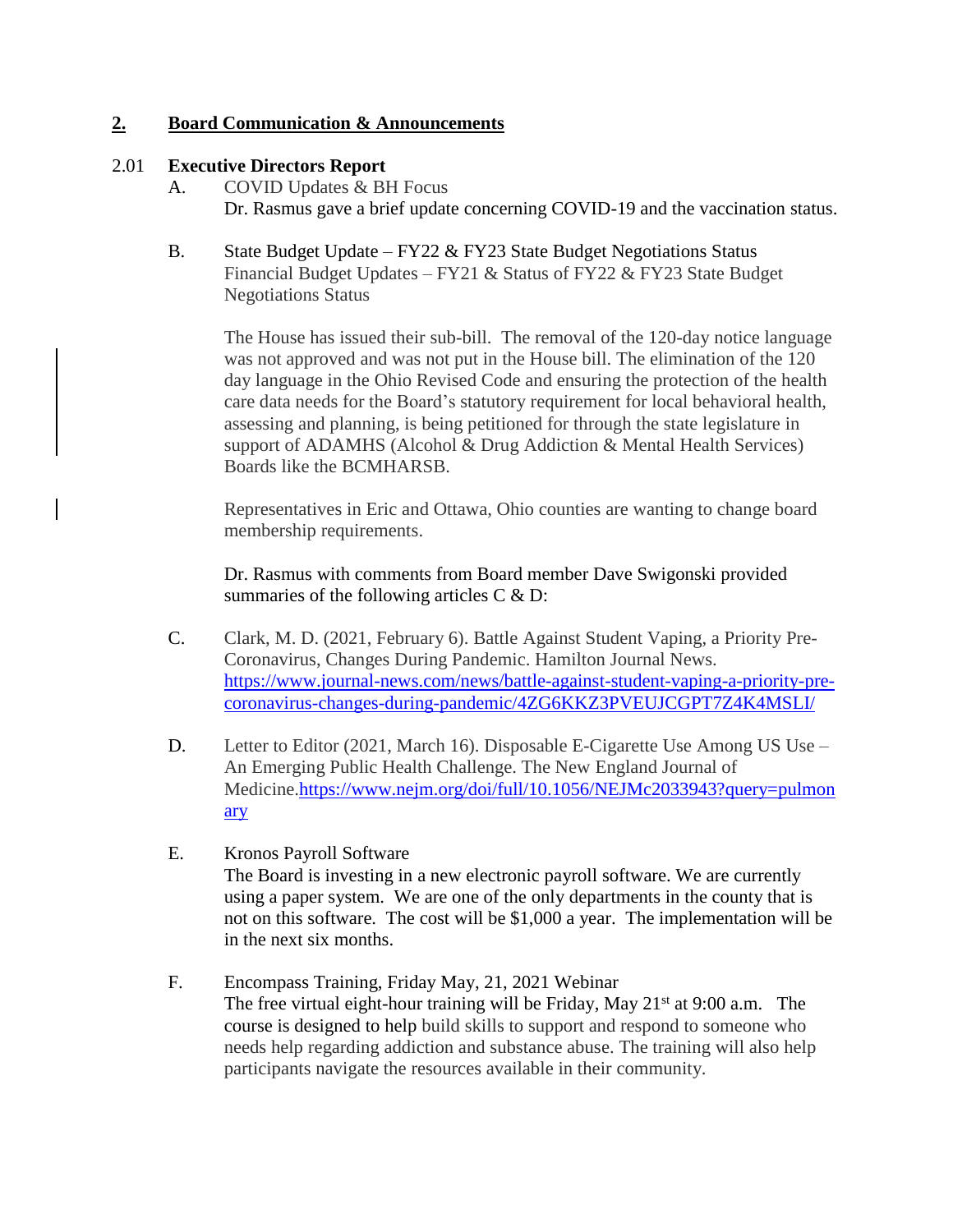# **2. Board Communication & Announcements**

# 2.01 **Executive Directors Report**

- A. COVID Updates & BH Focus Dr. Rasmus gave a brief update concerning COVID-19 and the vaccination status.
- B. State Budget Update FY22 & FY23 State Budget Negotiations Status Financial Budget Updates – FY21 & Status of FY22 & FY23 State Budget Negotiations Status

The House has issued their sub-bill. The removal of the 120-day notice language was not approved and was not put in the House bill. The elimination of the 120 day language in the Ohio Revised Code and ensuring the protection of the health care data needs for the Board's statutory requirement for local behavioral health, assessing and planning, is being petitioned for through the state legislature in support of ADAMHS (Alcohol & Drug Addiction & Mental Health Services) Boards like the BCMHARSB.

Representatives in Eric and Ottawa, Ohio counties are wanting to change board membership requirements.

Dr. Rasmus with comments from Board member Dave Swigonski provided summaries of the following articles C & D:

- C. Clark, M. D. (2021, February 6). Battle Against Student Vaping, a Priority Pre-Coronavirus, Changes During Pandemic. Hamilton Journal News. [https://www.journal-news.com/news/battle-against-student-vaping-a-priority-pre](https://www.journal-news.com/news/battle-against-student-vaping-a-priority-pre-coronavirus-changes-during-pandemic/4ZG6KKZ3PVEUJCGPT7Z4K4MSLI/)[coronavirus-changes-during-pandemic/4ZG6KKZ3PVEUJCGPT7Z4K4MSLI/](https://www.journal-news.com/news/battle-against-student-vaping-a-priority-pre-coronavirus-changes-during-pandemic/4ZG6KKZ3PVEUJCGPT7Z4K4MSLI/)
- D. Letter to Editor (2021, March 16). Disposable E-Cigarette Use Among US Use An Emerging Public Health Challenge. The New England Journal of Medicine[.https://www.nejm.org/doi/full/10.1056/NEJMc2033943?query=pulmon](https://www.nejm.org/doi/full/10.1056/NEJMc2033943?query=pulmonary) [ary](https://www.nejm.org/doi/full/10.1056/NEJMc2033943?query=pulmonary)
- E. Kronos Payroll Software The Board is investing in a new electronic payroll software. We are currently using a paper system. We are one of the only departments in the county that is not on this software. The cost will be \$1,000 a year. The implementation will be in the next six months.
- F. Encompass Training, Friday May, 21, 2021 Webinar The free virtual eight-hour training will be Friday, May  $21^{st}$  at 9:00 a.m. The course is designed to help build skills to support and respond to someone who needs help regarding addiction and substance abuse. The training will also help participants navigate the resources available in their community.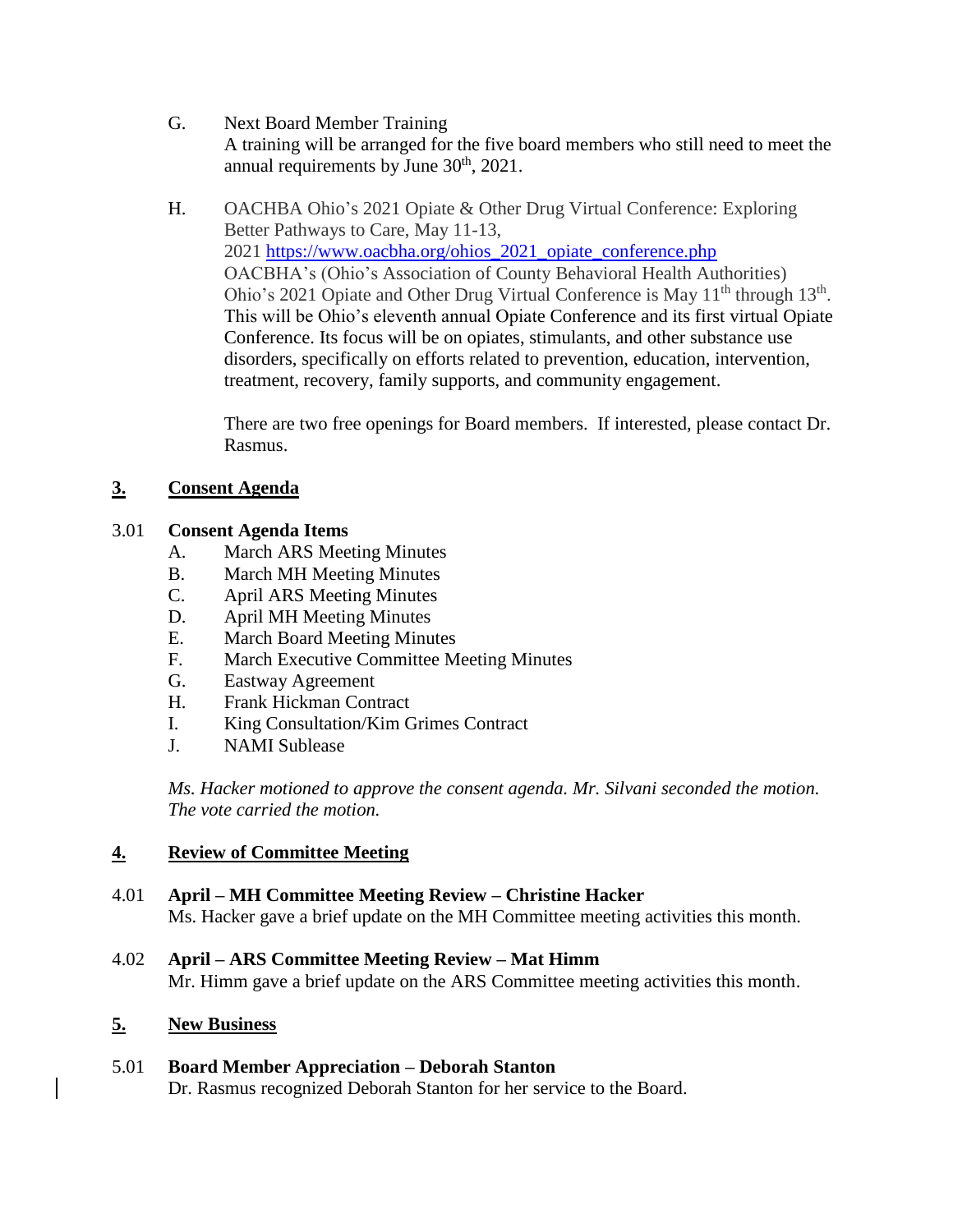- G. Next Board Member Training A training will be arranged for the five board members who still need to meet the annual requirements by June  $30<sup>th</sup>$ ,  $2021$ .
- H. OACHBA Ohio's 2021 Opiate & Other Drug Virtual Conference: Exploring Better Pathways to Care, May 11-13, 2021 [https://www.oacbha.org/ohios\\_2021\\_opiate\\_conference.php](https://www.oacbha.org/ohios_2021_opiate_conference.php) OACBHA's (Ohio's Association of County Behavioral Health Authorities) Ohio's 2021 Opiate and Other Drug Virtual Conference is May  $11<sup>th</sup>$  through  $13<sup>th</sup>$ . This will be Ohio's eleventh annual Opiate Conference and its first virtual Opiate Conference. Its focus will be on opiates, stimulants, and other substance use disorders, specifically on efforts related to prevention, education, intervention, treatment, recovery, family supports, and community engagement.

There are two free openings for Board members. If interested, please contact Dr. Rasmus.

# **3. Consent Agenda**

# 3.01 **Consent Agenda Items**

- A. March ARS Meeting Minutes
- B. March MH Meeting Minutes
- C. April ARS Meeting Minutes
- D. April MH Meeting Minutes
- E. March Board Meeting Minutes
- F. March Executive Committee Meeting Minutes
- G. Eastway Agreement
- H. Frank Hickman Contract
- I. King Consultation/Kim Grimes Contract
- J. NAMI Sublease

*Ms. Hacker motioned to approve the consent agenda. Mr. Silvani seconded the motion. The vote carried the motion.*

# **4. Review of Committee Meeting**

- 4.01 **April – MH Committee Meeting Review – Christine Hacker** Ms. Hacker gave a brief update on the MH Committee meeting activities this month.
- 4.02 **April – ARS Committee Meeting Review – Mat Himm** Mr. Himm gave a brief update on the ARS Committee meeting activities this month.

# **5. New Business**

5.01 **Board Member Appreciation – Deborah Stanton** Dr. Rasmus recognized Deborah Stanton for her service to the Board.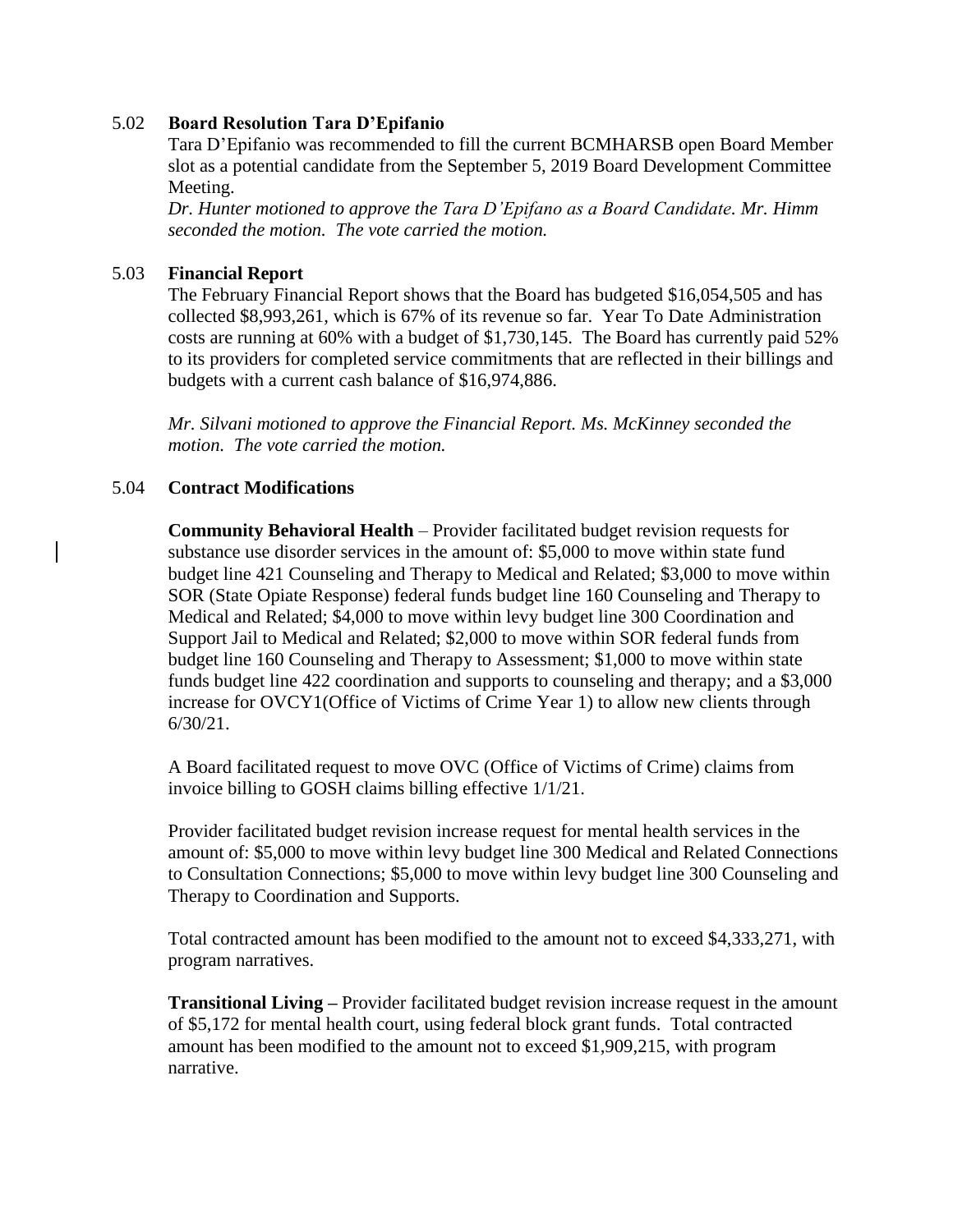## 5.02 **Board Resolution Tara D'Epifanio**

Tara D'Epifanio was recommended to fill the current BCMHARSB open Board Member slot as a potential candidate from the September 5, 2019 Board Development Committee Meeting.

*Dr. Hunter motioned to approve the Tara D'Epifano as a Board Candidate. Mr. Himm seconded the motion. The vote carried the motion.*

## 5.03 **Financial Report**

The February Financial Report shows that the Board has budgeted \$16,054,505 and has collected \$8,993,261, which is 67% of its revenue so far. Year To Date Administration costs are running at 60% with a budget of \$1,730,145. The Board has currently paid 52% to its providers for completed service commitments that are reflected in their billings and budgets with a current cash balance of \$16,974,886.

*Mr. Silvani motioned to approve the Financial Report. Ms. McKinney seconded the motion. The vote carried the motion.*

# 5.04 **Contract Modifications**

**Community Behavioral Health** – Provider facilitated budget revision requests for substance use disorder services in the amount of: \$5,000 to move within state fund budget line 421 Counseling and Therapy to Medical and Related; \$3,000 to move within SOR (State Opiate Response) federal funds budget line 160 Counseling and Therapy to Medical and Related; \$4,000 to move within levy budget line 300 Coordination and Support Jail to Medical and Related; \$2,000 to move within SOR federal funds from budget line 160 Counseling and Therapy to Assessment; \$1,000 to move within state funds budget line 422 coordination and supports to counseling and therapy; and a \$3,000 increase for OVCY1(Office of Victims of Crime Year 1) to allow new clients through 6/30/21.

A Board facilitated request to move OVC (Office of Victims of Crime) claims from invoice billing to GOSH claims billing effective 1/1/21.

Provider facilitated budget revision increase request for mental health services in the amount of: \$5,000 to move within levy budget line 300 Medical and Related Connections to Consultation Connections; \$5,000 to move within levy budget line 300 Counseling and Therapy to Coordination and Supports.

Total contracted amount has been modified to the amount not to exceed \$4,333,271, with program narratives.

**Transitional Living –** Provider facilitated budget revision increase request in the amount of \$5,172 for mental health court, using federal block grant funds. Total contracted amount has been modified to the amount not to exceed \$1,909,215, with program narrative.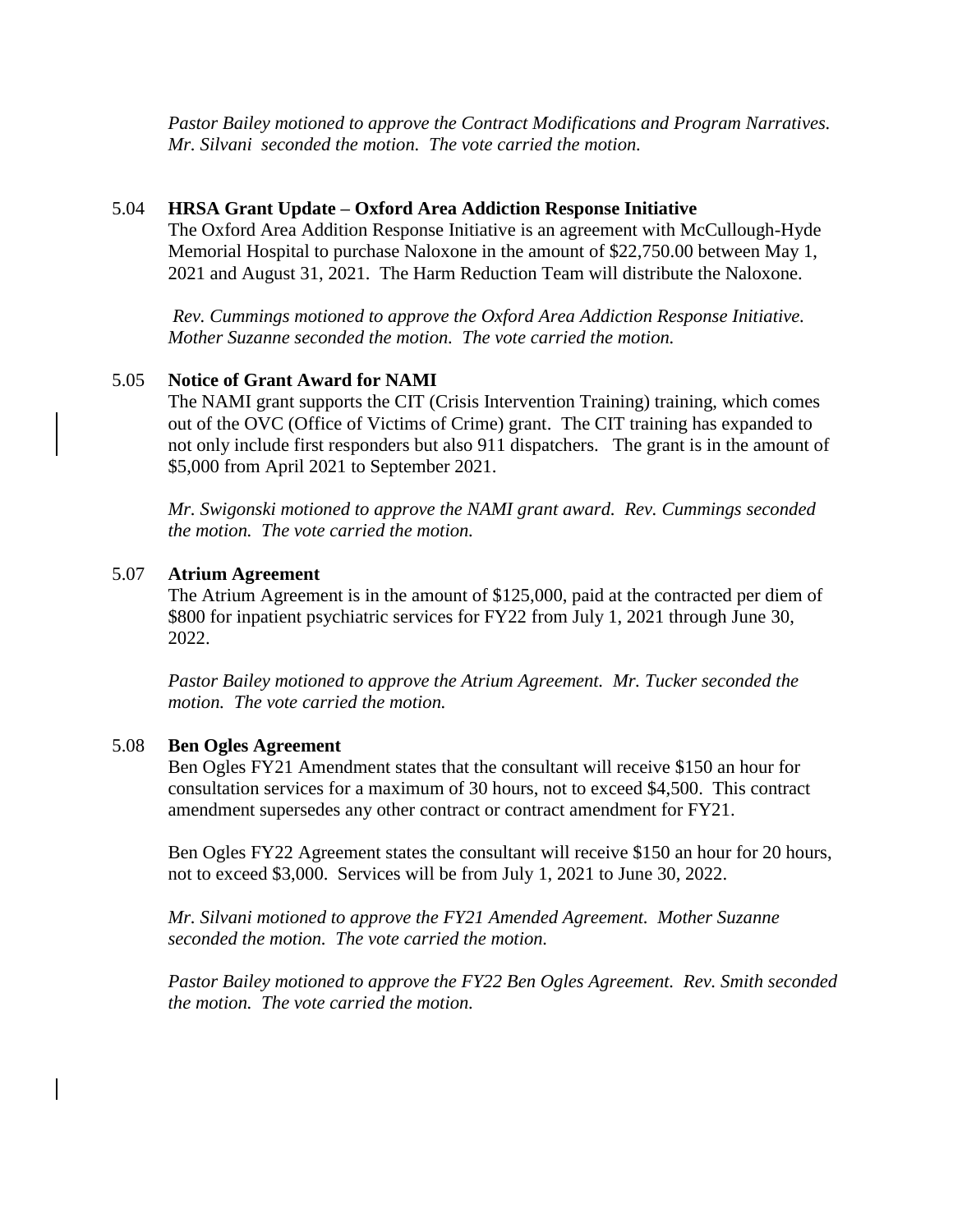*Pastor Bailey motioned to approve the Contract Modifications and Program Narratives. Mr. Silvani seconded the motion. The vote carried the motion.*

## 5.04 **HRSA Grant Update – Oxford Area Addiction Response Initiative**

The Oxford Area Addition Response Initiative is an agreement with McCullough-Hyde Memorial Hospital to purchase Naloxone in the amount of \$22,750.00 between May 1, 2021 and August 31, 2021. The Harm Reduction Team will distribute the Naloxone.

*Rev. Cummings motioned to approve the Oxford Area Addiction Response Initiative. Mother Suzanne seconded the motion. The vote carried the motion.*

# 5.05 **Notice of Grant Award for NAMI**

The NAMI grant supports the CIT (Crisis Intervention Training) training, which comes out of the OVC (Office of Victims of Crime) grant. The CIT training has expanded to not only include first responders but also 911 dispatchers. The grant is in the amount of \$5,000 from April 2021 to September 2021.

*Mr. Swigonski motioned to approve the NAMI grant award. Rev. Cummings seconded the motion. The vote carried the motion.*

## 5.07 **Atrium Agreement**

The Atrium Agreement is in the amount of \$125,000, paid at the contracted per diem of \$800 for inpatient psychiatric services for FY22 from July 1, 2021 through June 30, 2022.

*Pastor Bailey motioned to approve the Atrium Agreement. Mr. Tucker seconded the motion. The vote carried the motion.*

#### 5.08 **Ben Ogles Agreement**

Ben Ogles FY21 Amendment states that the consultant will receive \$150 an hour for consultation services for a maximum of 30 hours, not to exceed \$4,500. This contract amendment supersedes any other contract or contract amendment for FY21.

Ben Ogles FY22 Agreement states the consultant will receive \$150 an hour for 20 hours, not to exceed \$3,000. Services will be from July 1, 2021 to June 30, 2022.

*Mr. Silvani motioned to approve the FY21 Amended Agreement. Mother Suzanne seconded the motion. The vote carried the motion.*

*Pastor Bailey motioned to approve the FY22 Ben Ogles Agreement. Rev. Smith seconded the motion. The vote carried the motion.*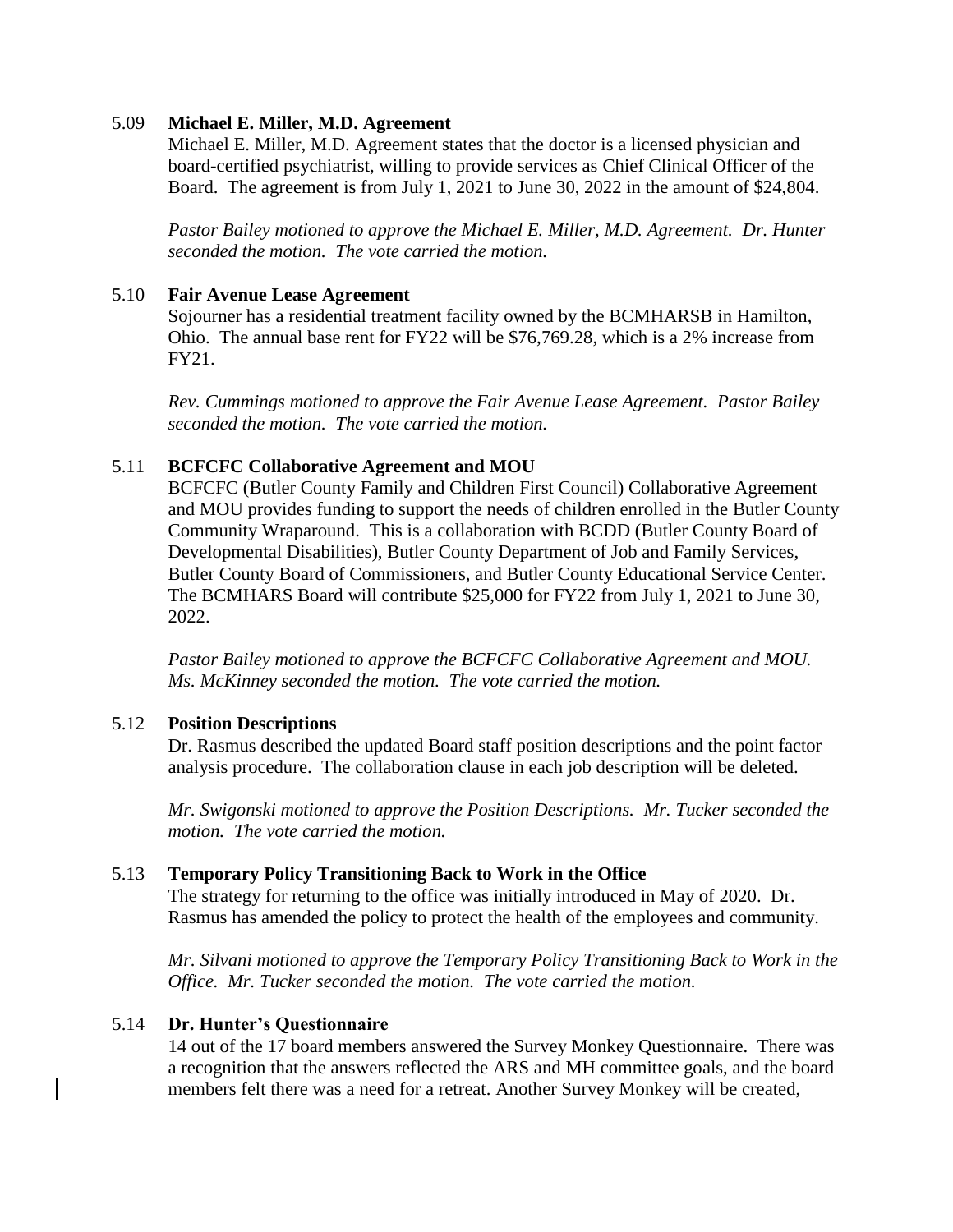## 5.09 **Michael E. Miller, M.D. Agreement**

Michael E. Miller, M.D. Agreement states that the doctor is a licensed physician and board-certified psychiatrist, willing to provide services as Chief Clinical Officer of the Board. The agreement is from July 1, 2021 to June 30, 2022 in the amount of \$24,804.

*Pastor Bailey motioned to approve the Michael E. Miller, M.D. Agreement. Dr. Hunter seconded the motion. The vote carried the motion.*

### 5.10 **Fair Avenue Lease Agreement**

Sojourner has a residential treatment facility owned by the BCMHARSB in Hamilton, Ohio. The annual base rent for FY22 will be \$76,769.28, which is a 2% increase from FY21.

*Rev. Cummings motioned to approve the Fair Avenue Lease Agreement. Pastor Bailey seconded the motion. The vote carried the motion.*

#### 5.11 **BCFCFC Collaborative Agreement and MOU**

BCFCFC (Butler County Family and Children First Council) Collaborative Agreement and MOU provides funding to support the needs of children enrolled in the Butler County Community Wraparound. This is a collaboration with BCDD (Butler County Board of Developmental Disabilities), Butler County Department of Job and Family Services, Butler County Board of Commissioners, and Butler County Educational Service Center. The BCMHARS Board will contribute \$25,000 for FY22 from July 1, 2021 to June 30, 2022.

*Pastor Bailey motioned to approve the BCFCFC Collaborative Agreement and MOU. Ms. McKinney seconded the motion. The vote carried the motion.*

#### 5.12 **Position Descriptions**

Dr. Rasmus described the updated Board staff position descriptions and the point factor analysis procedure. The collaboration clause in each job description will be deleted.

*Mr. Swigonski motioned to approve the Position Descriptions. Mr. Tucker seconded the motion. The vote carried the motion.*

#### 5.13 **Temporary Policy Transitioning Back to Work in the Office**

The strategy for returning to the office was initially introduced in May of 2020. Dr. Rasmus has amended the policy to protect the health of the employees and community.

*Mr. Silvani motioned to approve the Temporary Policy Transitioning Back to Work in the Office. Mr. Tucker seconded the motion. The vote carried the motion.*

## 5.14 **Dr. Hunter's Questionnaire**

14 out of the 17 board members answered the Survey Monkey Questionnaire. There was a recognition that the answers reflected the ARS and MH committee goals, and the board members felt there was a need for a retreat. Another Survey Monkey will be created,